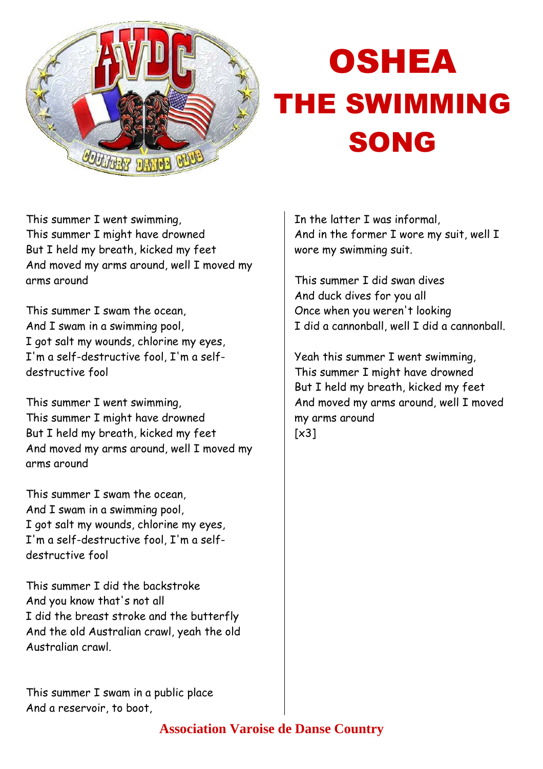

## OSHEA THE SWIMMING SONG

This summer I went swimming, This summer I might have drowned But I held my breath, kicked my feet And moved my arms around, well I moved my arms around

This summer I swam the ocean, And I swam in a swimming pool, I got salt my wounds, chlorine my eyes, I'm a self-destructive fool, I'm a selfdestructive fool

This summer I went swimming, This summer I might have drowned But I held my breath, kicked my feet And moved my arms around, well I moved my arms around

This summer I swam the ocean, And I swam in a swimming pool, I got salt my wounds, chlorine my eyes, I'm a self-destructive fool, I'm a selfdestructive fool

This summer I did the backstroke And you know that's not all I did the breast stroke and the butterfly And the old Australian crawl, yeah the old Australian crawl.

This summer I swam in a public place And a reservoir, to boot,

In the latter I was informal, And in the former I wore my suit, well I wore my swimming suit.

This summer I did swan dives And duck dives for you all Once when you weren't looking I did a cannonball, well I did a cannonball.

Yeah this summer I went swimming, This summer I might have drowned But I held my breath, kicked my feet And moved my arms around, well I moved my arms around  $[x3]$ 

## **Association Varoise de Danse Country**